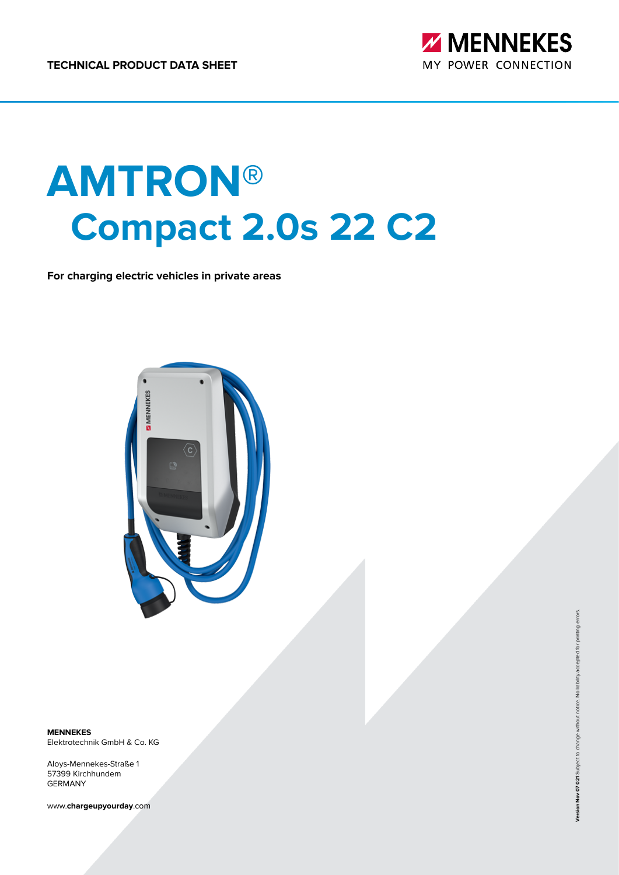

# **AMTRON® Compact 2.0s 22 C2**

**For charging electric vehicles in private areas**



**MENNEKES** Elektrotechnik GmbH & Co. KG

Aloys-Mennekes-Straße 1 57399 Kirchhundem GERMANY

www.**chargeupyourday**.com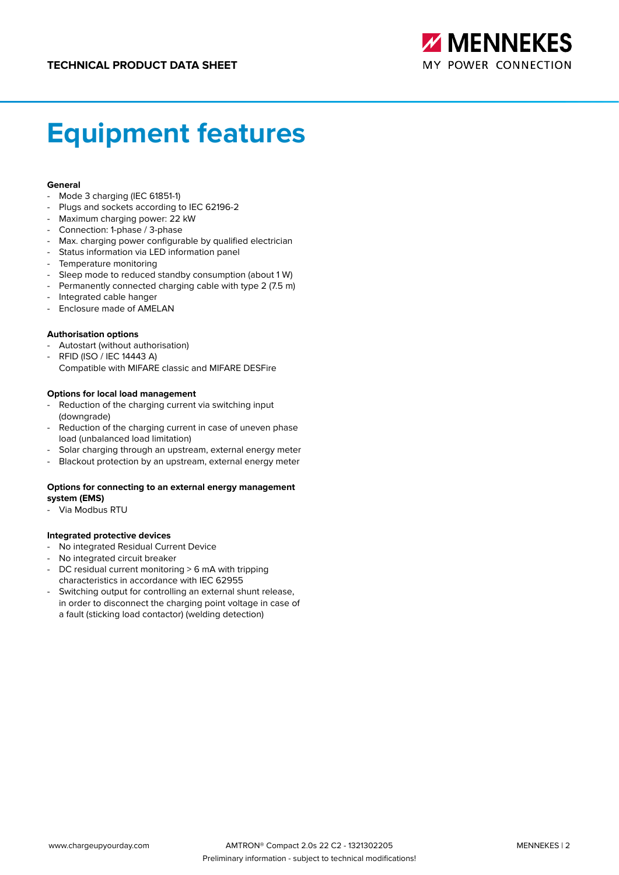

# **Equipment features**

#### **General**

- Mode 3 charging (IEC 61851-1)
- Plugs and sockets according to IEC 62196-2
- Maximum charging power: 22 kW
- Connection: 1-phase / 3-phase
- Max. charging power configurable by qualified electrician
- Status information via LED information panel
- Temperature monitoring
- Sleep mode to reduced standby consumption (about 1 W)
- Permanently connected charging cable with type 2 (7.5 m)
- Integrated cable hanger
- Enclosure made of AMELAN

#### **Authorisation options**

- Autostart (without authorisation)
- RFID (ISO / IEC 14443 A) Compatible with MIFARE classic and MIFARE DESFire

#### **Options for local load management**

- Reduction of the charging current via switching input (downgrade)
- Reduction of the charging current in case of uneven phase load (unbalanced load limitation)
- Solar charging through an upstream, external energy meter
- Blackout protection by an upstream, external energy meter

#### **Options for connecting to an external energy management system (EMS)**

Via Modbus RTU

#### **Integrated protective devices**

- No integrated Residual Current Device
- No integrated circuit breaker
- DC residual current monitoring > 6 mA with tripping characteristics in accordance with IEC 62955
- Switching output for controlling an external shunt release, in order to disconnect the charging point voltage in case of a fault (sticking load contactor) (welding detection)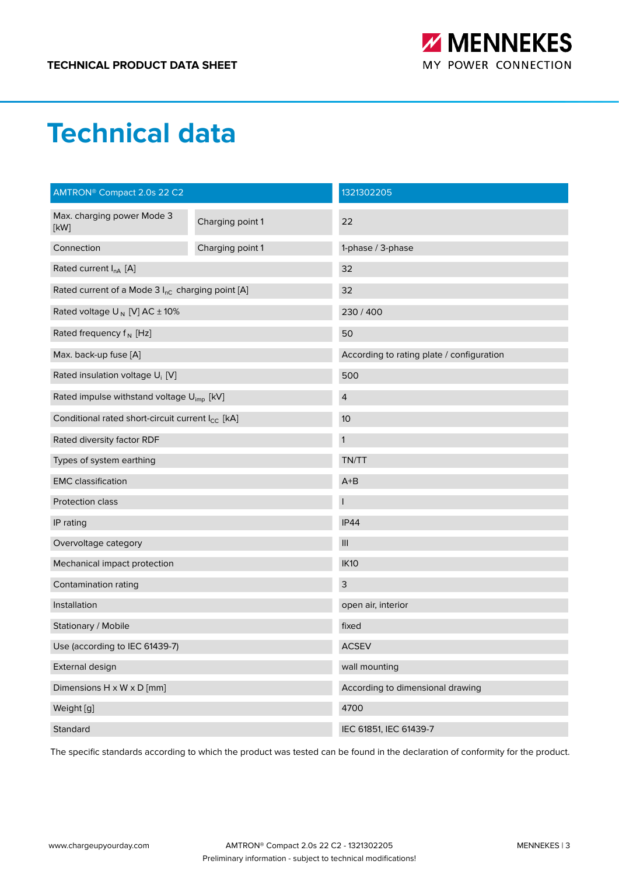

### **Technical data**

| AMTRON <sup>®</sup> Compact 2.0s 22 C2                       |                  | 1321302205                                |  |
|--------------------------------------------------------------|------------------|-------------------------------------------|--|
| Max. charging power Mode 3<br>[KW]                           | Charging point 1 | 22                                        |  |
| Connection                                                   | Charging point 1 | 1-phase / 3-phase                         |  |
| Rated current $I_{nA}$ [A]                                   |                  | 32                                        |  |
| Rated current of a Mode 3 I <sub>nC</sub> charging point [A] |                  | 32                                        |  |
| Rated voltage $U_N$ [V] AC $\pm$ 10%                         |                  | 230 / 400                                 |  |
| Rated frequency $f_N$ [Hz]                                   |                  | 50                                        |  |
| Max. back-up fuse [A]                                        |                  | According to rating plate / configuration |  |
| Rated insulation voltage U <sub>i</sub> [V]                  |                  | 500                                       |  |
| Rated impulse withstand voltage U <sub>imp</sub> [kV]        |                  | $\overline{4}$                            |  |
| Conditional rated short-circuit current I <sub>CC</sub> [kA] |                  | 10                                        |  |
| Rated diversity factor RDF                                   |                  | $\mathbf{1}$                              |  |
| Types of system earthing                                     |                  | TN/TT                                     |  |
| <b>EMC</b> classification                                    |                  | $A+B$                                     |  |
| Protection class                                             |                  |                                           |  |
| IP rating                                                    |                  | <b>IP44</b>                               |  |
| Overvoltage category                                         |                  | $\ensuremath{\mathsf{III}}\xspace$        |  |
| Mechanical impact protection                                 |                  | <b>IK10</b>                               |  |
| Contamination rating                                         |                  | $\mathsf{3}$                              |  |
| Installation                                                 |                  | open air, interior                        |  |
| Stationary / Mobile                                          |                  | fixed                                     |  |
| Use (according to IEC 61439-7)                               |                  | <b>ACSEV</b>                              |  |
| External design                                              |                  | wall mounting                             |  |
| Dimensions $H \times W \times D$ [mm]                        |                  | According to dimensional drawing          |  |
| Weight [g]                                                   |                  | 4700                                      |  |
| Standard                                                     |                  | IEC 61851, IEC 61439-7                    |  |

The specific standards according to which the product was tested can be found in the declaration of conformity for the product.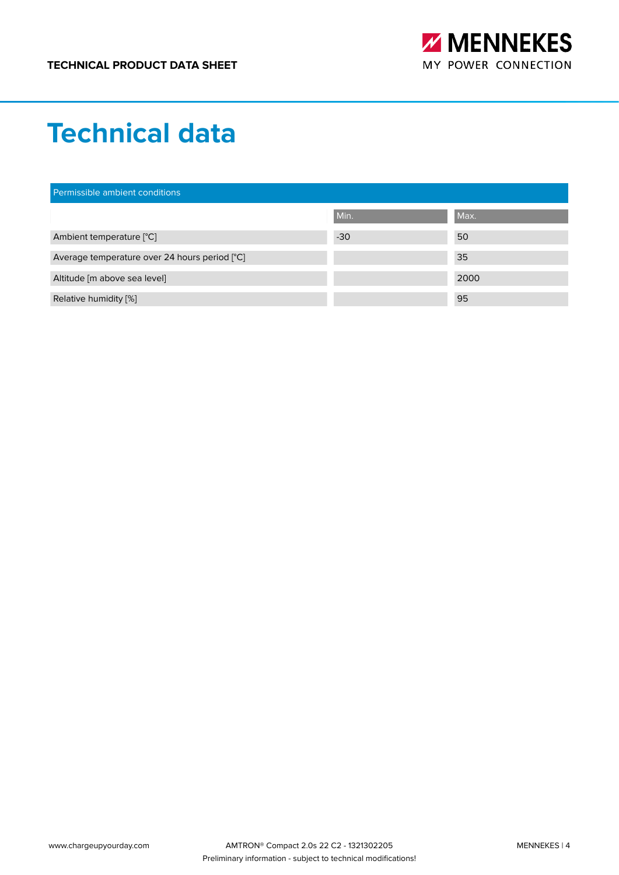

### **Technical data**

| Permissible ambient conditions                |       |      |  |
|-----------------------------------------------|-------|------|--|
|                                               | Min.  | Max. |  |
| Ambient temperature [°C]                      | $-30$ | 50   |  |
| Average temperature over 24 hours period [°C] |       | 35   |  |
| Altitude [m above sea level]                  |       | 2000 |  |
| Relative humidity [%]                         |       | 95   |  |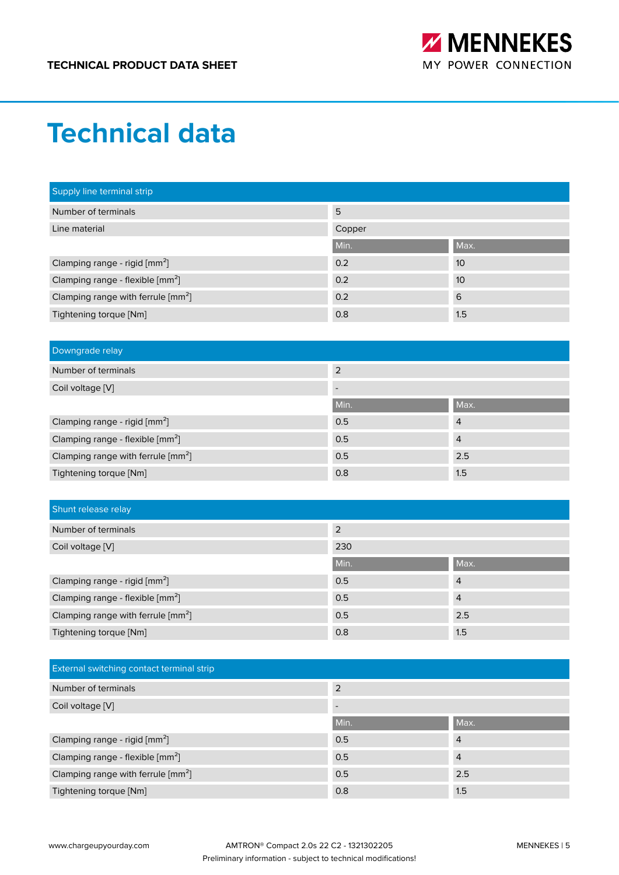

### **Technical data**

| Supply line terminal strip                     |        |      |
|------------------------------------------------|--------|------|
| Number of terminals                            | 5      |      |
| Line material                                  | Copper |      |
|                                                | Min.   | Max. |
| Clamping range - rigid [mm <sup>2</sup> ]      | 0.2    | 10   |
| Clamping range - flexible [mm <sup>2</sup> ]   | 0.2    | 10   |
| Clamping range with ferrule [mm <sup>2</sup> ] | 0.2    | 6    |
| Tightening torque [Nm]                         | 0.8    | 1.5  |

| Downgrade relay                                  |                          |                |
|--------------------------------------------------|--------------------------|----------------|
| Number of terminals                              | $\overline{2}$           |                |
| Coil voltage [V]                                 | $\overline{\phantom{0}}$ |                |
|                                                  | Min.                     | Max.           |
| Clamping range - rigid [mm <sup>2</sup> ]        | 0.5                      | $\overline{4}$ |
| Clamping range - flexible [mm <sup>2</sup> ]     | 0.5                      | $\overline{4}$ |
| Clamping range with ferrule $\lceil mm^2 \rceil$ | 0.5                      | 2.5            |
| Tightening torque [Nm]                           | 0.8                      | 1.5            |

| Shunt release relay                            |      |                |
|------------------------------------------------|------|----------------|
| Number of terminals                            | 2    |                |
| Coil voltage [V]                               | 230  |                |
|                                                | Min. | Max.           |
| Clamping range - rigid [mm <sup>2</sup> ]      | 0.5  | $\overline{4}$ |
| Clamping range - flexible [mm <sup>2</sup> ]   | 0.5  | $\overline{4}$ |
| Clamping range with ferrule [mm <sup>2</sup> ] | 0.5  | 2.5            |
| Tightening torque [Nm]                         | 0.8  | 1.5            |

| <b>External switching contact terminal strip</b> |      |                |
|--------------------------------------------------|------|----------------|
| Number of terminals                              | 2    |                |
| Coil voltage [V]                                 |      |                |
|                                                  | Min. | Max.           |
| Clamping range - rigid [mm <sup>2</sup> ]        | 0.5  | $\overline{4}$ |
| Clamping range - flexible [mm <sup>2</sup> ]     | 0.5  | $\overline{4}$ |
| Clamping range with ferrule [mm <sup>2</sup> ]   | 0.5  | 2.5            |
| Tightening torque [Nm]                           | 0.8  | 1.5            |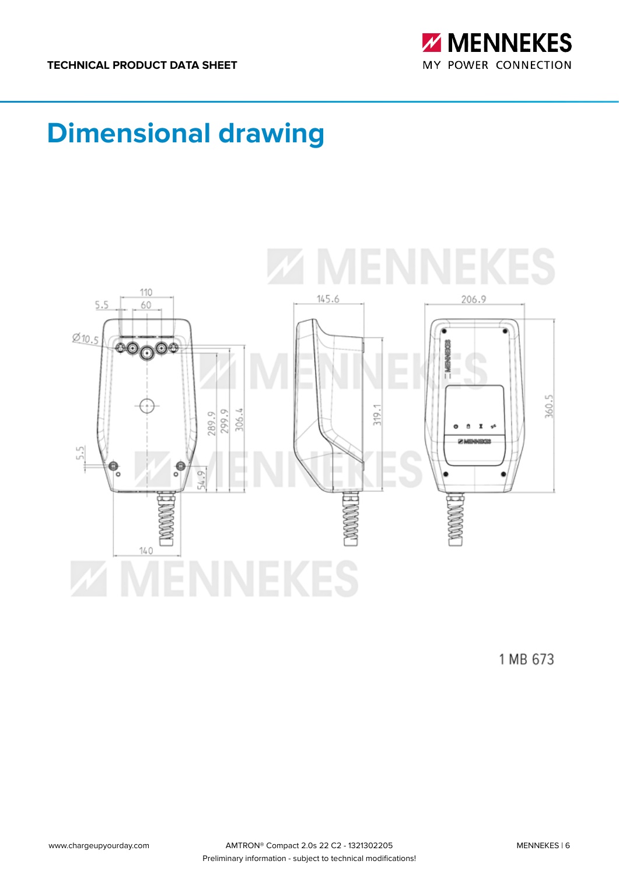

# **Dimensional drawing**



1 MB 673